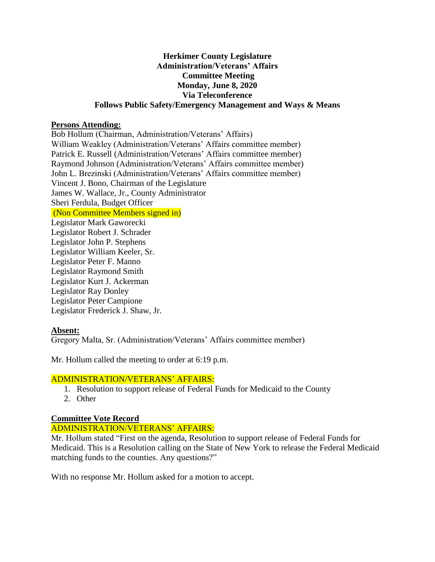## **Herkimer County Legislature Administration/Veterans' Affairs Committee Meeting Monday, June 8, 2020 Via Teleconference Follows Public Safety/Emergency Management and Ways & Means**

### **Persons Attending:**

Bob Hollum (Chairman, Administration/Veterans' Affairs) William Weakley (Administration/Veterans' Affairs committee member) Patrick E. Russell (Administration/Veterans' Affairs committee member) Raymond Johnson (Administration/Veterans' Affairs committee member) John L. Brezinski (Administration/Veterans' Affairs committee member) Vincent J. Bono, Chairman of the Legislature James W. Wallace, Jr., County Administrator Sheri Ferdula, Budget Officer (Non Committee Members signed in) Legislator Mark Gaworecki Legislator Robert J. Schrader Legislator John P. Stephens Legislator William Keeler, Sr. Legislator Peter F. Manno Legislator Raymond Smith Legislator Kurt J. Ackerman Legislator Ray Donley Legislator Peter Campione Legislator Frederick J. Shaw, Jr.

# **Absent:**

Gregory Malta, Sr. (Administration/Veterans' Affairs committee member)

Mr. Hollum called the meeting to order at 6:19 p.m.

### ADMINISTRATION/VETERANS' AFFAIRS:

- 1. Resolution to support release of Federal Funds for Medicaid to the County
- 2. Other

# **Committee Vote Record**

# ADMINISTRATION/VETERANS' AFFAIRS:

Mr. Hollum stated "First on the agenda, Resolution to support release of Federal Funds for Medicaid. This is a Resolution calling on the State of New York to release the Federal Medicaid matching funds to the counties. Any questions?"

With no response Mr. Hollum asked for a motion to accept.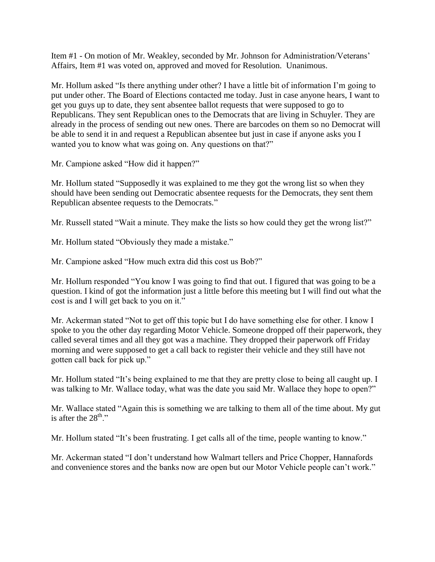Item #1 - On motion of Mr. Weakley, seconded by Mr. Johnson for Administration/Veterans' Affairs, Item #1 was voted on, approved and moved for Resolution. Unanimous.

Mr. Hollum asked "Is there anything under other? I have a little bit of information I'm going to put under other. The Board of Elections contacted me today. Just in case anyone hears, I want to get you guys up to date, they sent absentee ballot requests that were supposed to go to Republicans. They sent Republican ones to the Democrats that are living in Schuyler. They are already in the process of sending out new ones. There are barcodes on them so no Democrat will be able to send it in and request a Republican absentee but just in case if anyone asks you I wanted you to know what was going on. Any questions on that?"

Mr. Campione asked "How did it happen?"

Mr. Hollum stated "Supposedly it was explained to me they got the wrong list so when they should have been sending out Democratic absentee requests for the Democrats, they sent them Republican absentee requests to the Democrats."

Mr. Russell stated "Wait a minute. They make the lists so how could they get the wrong list?"

Mr. Hollum stated "Obviously they made a mistake."

Mr. Campione asked "How much extra did this cost us Bob?"

Mr. Hollum responded "You know I was going to find that out. I figured that was going to be a question. I kind of got the information just a little before this meeting but I will find out what the cost is and I will get back to you on it."

Mr. Ackerman stated "Not to get off this topic but I do have something else for other. I know I spoke to you the other day regarding Motor Vehicle. Someone dropped off their paperwork, they called several times and all they got was a machine. They dropped their paperwork off Friday morning and were supposed to get a call back to register their vehicle and they still have not gotten call back for pick up."

Mr. Hollum stated "It's being explained to me that they are pretty close to being all caught up. I was talking to Mr. Wallace today, what was the date you said Mr. Wallace they hope to open?"

Mr. Wallace stated "Again this is something we are talking to them all of the time about. My gut is after the  $28^{th}$ ."

Mr. Hollum stated "It's been frustrating. I get calls all of the time, people wanting to know."

Mr. Ackerman stated "I don't understand how Walmart tellers and Price Chopper, Hannafords and convenience stores and the banks now are open but our Motor Vehicle people can't work."